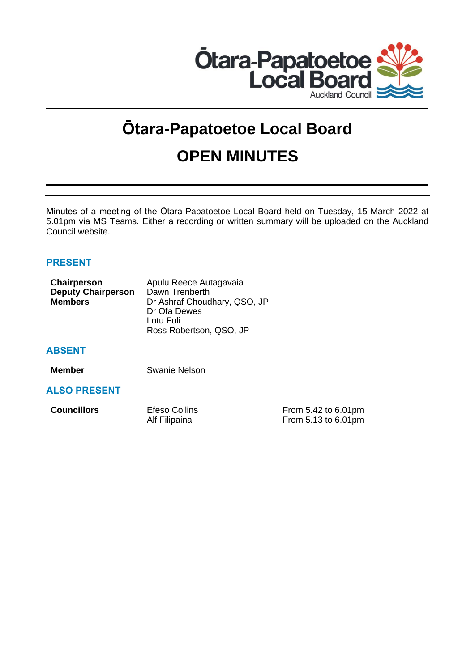

# **Ōtara-Papatoetoe Local Board**

# **OPEN MINUTES**

Minutes of a meeting of the Ōtara-Papatoetoe Local Board held on Tuesday, 15 March 2022 at 5.01pm via MS Teams. Either a recording or written summary will be uploaded on the Auckland Council website.

# **PRESENT**

| Chairperson               | Apulu Reece Autagavaia       |  |
|---------------------------|------------------------------|--|
| <b>Deputy Chairperson</b> | Dawn Trenberth               |  |
| <b>Members</b>            | Dr Ashraf Choudhary, QSO, JP |  |
|                           | Dr Ofa Dewes                 |  |
|                           | Lotu Fuli                    |  |
|                           | Ross Robertson, QSO, JP      |  |

# **ABSENT**

**Member** Swanie Nelson

# **ALSO PRESENT**

| <b>Councillors</b> | Efeso Collins | From 5.42 to 6.01pm |
|--------------------|---------------|---------------------|
|                    | Alf Filipaina | From 5.13 to 6.01pm |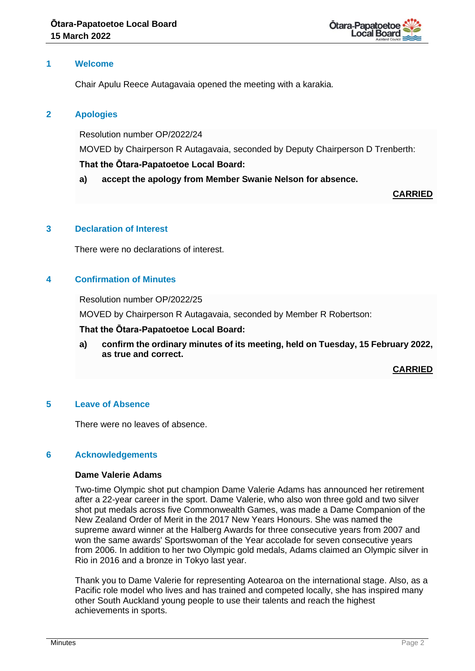

# **1 Welcome**

Chair Apulu Reece Autagavaia opened the meeting with a karakia.

# **2 Apologies**

Resolution number OP/2022/24

MOVED by Chairperson R Autagavaia, seconded by Deputy Chairperson D Trenberth:

# **That the Ōtara-Papatoetoe Local Board:**

**a) accept the apology from Member Swanie Nelson for absence.**

**CARRIED**

# **3 Declaration of Interest**

There were no declarations of interest.

# **4 Confirmation of Minutes**

Resolution number OP/2022/25

MOVED by Chairperson R Autagavaia, seconded by Member R Robertson:

#### **That the Ōtara-Papatoetoe Local Board:**

**a) confirm the ordinary minutes of its meeting, held on Tuesday, 15 February 2022, as true and correct.**

**CARRIED**

#### **5 Leave of Absence**

There were no leaves of absence.

#### **6 Acknowledgements**

# **Dame Valerie Adams**

Two-time Olympic shot put champion Dame Valerie Adams has announced her retirement after a 22-year career in the sport. Dame Valerie, who also won three gold and two silver shot put medals across five Commonwealth Games, was made a Dame Companion of the New Zealand Order of Merit in the 2017 New Years Honours. She was named the supreme award winner at the Halberg Awards for three consecutive years from 2007 and won the same awards' Sportswoman of the Year accolade for seven consecutive years from 2006. In addition to her two Olympic gold medals, Adams claimed an Olympic silver in Rio in 2016 and a bronze in Tokyo last year.

Thank you to Dame Valerie for representing Aotearoa on the international stage. Also, as a Pacific role model who lives and has trained and competed locally, she has inspired many other South Auckland young people to use their talents and reach the highest achievements in sports.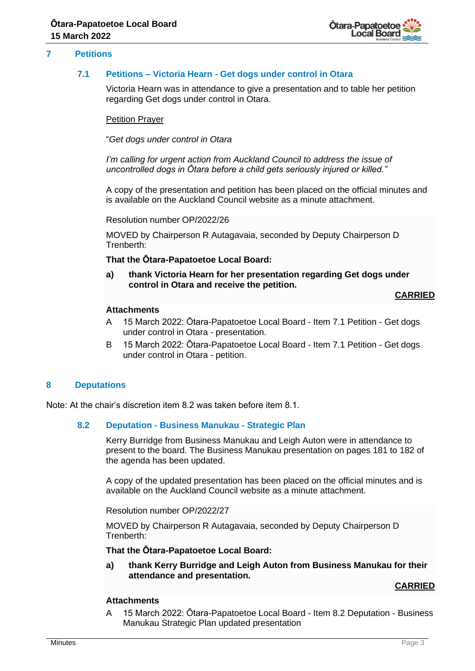

# **7 Petitions**

#### **7.1 Petitions – Victoria Hearn - Get dogs under control in Otara**

Victoria Hearn was in attendance to give a presentation and to table her petition regarding Get dogs under control in Otara.

#### Petition Prayer

"*Get dogs under control in Otara*

*I'm calling for urgent action from Auckland Council to address the issue of uncontrolled dogs in Ōtara before a child gets seriously injured or killed."*

A copy of the presentation and petition has been placed on the official minutes and is available on the Auckland Council website as a minute attachment.

Resolution number OP/2022/26

MOVED by Chairperson R Autagavaia, seconded by Deputy Chairperson D Trenberth:

**That the Ōtara-Papatoetoe Local Board:**

**a) thank Victoria Hearn for her presentation regarding Get dogs under control in Otara and receive the petition.**

#### **CARRIED**

# **Attachments**

- A 15 March 2022: Ōtara-Papatoetoe Local Board Item 7.1 Petition Get dogs under control in Otara - presentation.
- B 15 March 2022: Ōtara-Papatoetoe Local Board Item 7.1 Petition Get dogs under control in Otara - petition.

#### **8 Deputations**

Note: At the chair's discretion item 8.2 was taken before item 8.1.

#### **8.2 Deputation - Business Manukau - Strategic Plan**

Kerry Burridge from Business Manukau and Leigh Auton were in attendance to present to the board. The Business Manukau presentation on pages 181 to 182 of the agenda has been updated.

A copy of the updated presentation has been placed on the official minutes and is available on the Auckland Council website as a minute attachment.

Resolution number OP/2022/27

MOVED by Chairperson R Autagavaia, seconded by Deputy Chairperson D Trenberth:

**That the Ōtara-Papatoetoe Local Board:**

**a) thank Kerry Burridge and Leigh Auton from Business Manukau for their attendance and presentation.**

#### **CARRIED**

# **Attachments**

A 15 March 2022: Ōtara-Papatoetoe Local Board - Item 8.2 Deputation - Business Manukau Strategic Plan updated presentation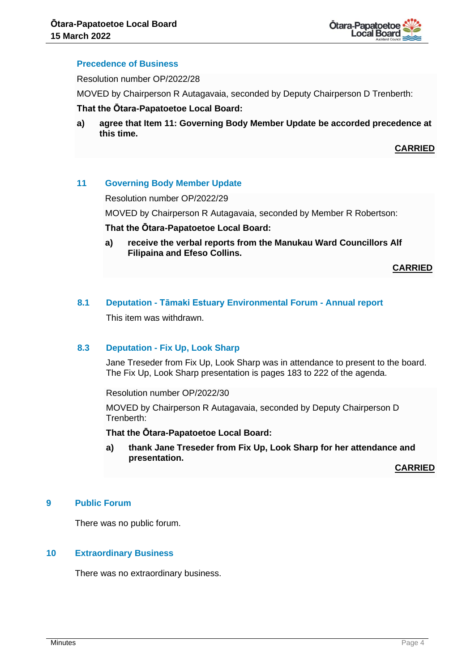

#### **Precedence of Business**

Resolution number OP/2022/28

MOVED by Chairperson R Autagavaia, seconded by Deputy Chairperson D Trenberth:

#### **That the Ōtara-Papatoetoe Local Board:**

**a) agree that Item 11: Governing Body Member Update be accorded precedence at this time.**

**CARRIED**

#### **11 Governing Body Member Update**

Resolution number OP/2022/29

MOVED by Chairperson R Autagavaia, seconded by Member R Robertson:

#### **That the Ōtara-Papatoetoe Local Board:**

**a) receive the verbal reports from the Manukau Ward Councillors Alf Filipaina and Efeso Collins.**

**CARRIED**

# **8.1 Deputation - Tāmaki Estuary Environmental Forum - Annual report**

This item was withdrawn.

#### **8.3 Deputation - Fix Up, Look Sharp**

Jane Treseder from Fix Up, Look Sharp was in attendance to present to the board. The Fix Up, Look Sharp presentation is pages 183 to 222 of the agenda.

Resolution number OP/2022/30

MOVED by Chairperson R Autagavaia, seconded by Deputy Chairperson D Trenberth:

**That the Ōtara-Papatoetoe Local Board:**

**a) thank Jane Treseder from Fix Up, Look Sharp for her attendance and presentation.**

**CARRIED**

# **9 Public Forum**

There was no public forum.

# **10 Extraordinary Business**

There was no extraordinary business.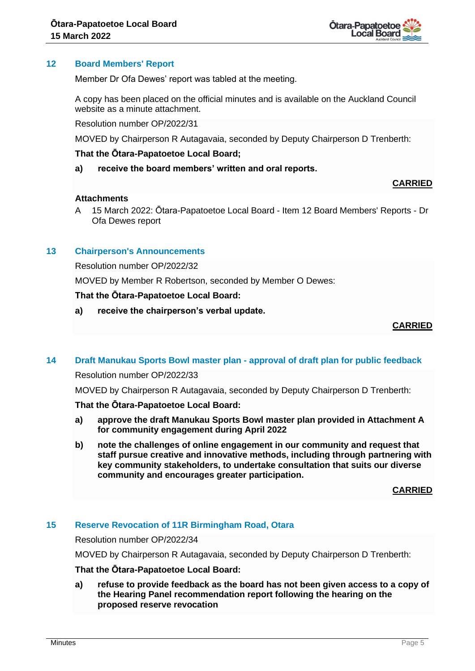

# **12 Board Members' Report**

Member Dr Ofa Dewes' report was tabled at the meeting.

A copy has been placed on the official minutes and is available on the Auckland Council website as a minute attachment.

Resolution number OP/2022/31

MOVED by Chairperson R Autagavaia, seconded by Deputy Chairperson D Trenberth:

#### **That the Ōtara-Papatoetoe Local Board;**

**a) receive the board members' written and oral reports.**

#### **CARRIED**

#### **Attachments**

A 15 March 2022: Ōtara-Papatoetoe Local Board - Item 12 Board Members' Reports - Dr Ofa Dewes report

#### **13 Chairperson's Announcements**

Resolution number OP/2022/32

MOVED by Member R Robertson, seconded by Member O Dewes:

#### **That the Ōtara-Papatoetoe Local Board:**

**a) receive the chairperson's verbal update.**

#### **CARRIED**

#### **14 Draft Manukau Sports Bowl master plan - approval of draft plan for public feedback**

#### Resolution number OP/2022/33

MOVED by Chairperson R Autagavaia, seconded by Deputy Chairperson D Trenberth:

#### **That the Ōtara-Papatoetoe Local Board:**

- **a) approve the draft Manukau Sports Bowl master plan provided in Attachment A for community engagement during April 2022**
- **b) note the challenges of online engagement in our community and request that staff pursue creative and innovative methods, including through partnering with key community stakeholders, to undertake consultation that suits our diverse community and encourages greater participation.**

**CARRIED**

#### **15 Reserve Revocation of 11R Birmingham Road, Otara**

Resolution number OP/2022/34

MOVED by Chairperson R Autagavaia, seconded by Deputy Chairperson D Trenberth:

#### **That the Ōtara-Papatoetoe Local Board:**

**a) refuse to provide feedback as the board has not been given access to a copy of the Hearing Panel recommendation report following the hearing on the proposed reserve revocation**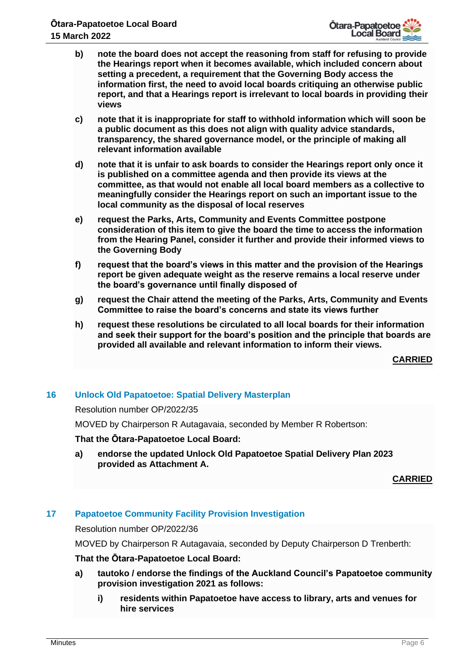

- **b) note the board does not accept the reasoning from staff for refusing to provide the Hearings report when it becomes available, which included concern about setting a precedent, a requirement that the Governing Body access the information first, the need to avoid local boards critiquing an otherwise public report, and that a Hearings report is irrelevant to local boards in providing their views**
- **c) note that it is inappropriate for staff to withhold information which will soon be a public document as this does not align with quality advice standards, transparency, the shared governance model, or the principle of making all relevant information available**
- **d) note that it is unfair to ask boards to consider the Hearings report only once it is published on a committee agenda and then provide its views at the committee, as that would not enable all local board members as a collective to meaningfully consider the Hearings report on such an important issue to the local community as the disposal of local reserves**
- **e) request the Parks, Arts, Community and Events Committee postpone consideration of this item to give the board the time to access the information from the Hearing Panel, consider it further and provide their informed views to the Governing Body**
- **f) request that the board's views in this matter and the provision of the Hearings report be given adequate weight as the reserve remains a local reserve under the board's governance until finally disposed of**
- **g) request the Chair attend the meeting of the Parks, Arts, Community and Events Committee to raise the board's concerns and state its views further**
- **h) request these resolutions be circulated to all local boards for their information and seek their support for the board's position and the principle that boards are provided all available and relevant information to inform their views.**

**CARRIED**

# **16 Unlock Old Papatoetoe: Spatial Delivery Masterplan**

Resolution number OP/2022/35

MOVED by Chairperson R Autagavaia, seconded by Member R Robertson:

# **That the Ōtara-Papatoetoe Local Board:**

**a) endorse the updated Unlock Old Papatoetoe Spatial Delivery Plan 2023 provided as Attachment A.**

# **CARRIED**

# **17 Papatoetoe Community Facility Provision Investigation**

Resolution number OP/2022/36

MOVED by Chairperson R Autagavaia, seconded by Deputy Chairperson D Trenberth:

#### **That the Ōtara-Papatoetoe Local Board:**

- **a) tautoko / endorse the findings of the Auckland Council's Papatoetoe community provision investigation 2021 as follows:**
	- **i) residents within Papatoetoe have access to library, arts and venues for hire services**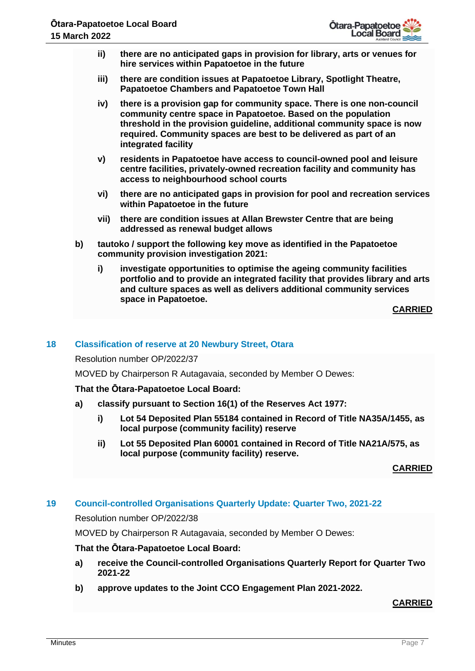

- **ii) there are no anticipated gaps in provision for library, arts or venues for hire services within Papatoetoe in the future**
- **iii) there are condition issues at Papatoetoe Library, Spotlight Theatre, Papatoetoe Chambers and Papatoetoe Town Hall**
- **iv) there is a provision gap for community space. There is one non-council community centre space in Papatoetoe. Based on the population threshold in the provision guideline, additional community space is now required. Community spaces are best to be delivered as part of an integrated facility**
- **v) residents in Papatoetoe have access to council-owned pool and leisure centre facilities, privately-owned recreation facility and community has access to neighbourhood school courts**
- **vi) there are no anticipated gaps in provision for pool and recreation services within Papatoetoe in the future**
- **vii) there are condition issues at Allan Brewster Centre that are being addressed as renewal budget allows**
- **b) tautoko / support the following key move as identified in the Papatoetoe community provision investigation 2021:** 
	- **i) investigate opportunities to optimise the ageing community facilities portfolio and to provide an integrated facility that provides library and arts and culture spaces as well as delivers additional community services space in Papatoetoe.**

**CARRIED**

# **18 Classification of reserve at 20 Newbury Street, Otara**

Resolution number OP/2022/37

MOVED by Chairperson R Autagavaia, seconded by Member O Dewes:

#### **That the Ōtara-Papatoetoe Local Board:**

- **a) classify pursuant to Section 16(1) of the Reserves Act 1977:**
	- **i) Lot 54 Deposited Plan 55184 contained in Record of Title NA35A/1455, as local purpose (community facility) reserve**
	- **ii) Lot 55 Deposited Plan 60001 contained in Record of Title NA21A/575, as local purpose (community facility) reserve.**

**CARRIED**

# **19 Council-controlled Organisations Quarterly Update: Quarter Two, 2021-22**

Resolution number OP/2022/38

MOVED by Chairperson R Autagavaia, seconded by Member O Dewes:

# **That the Ōtara-Papatoetoe Local Board:**

- **a) receive the Council-controlled Organisations Quarterly Report for Quarter Two 2021-22**
- **b) approve updates to the Joint CCO Engagement Plan 2021-2022.**

#### **CARRIED**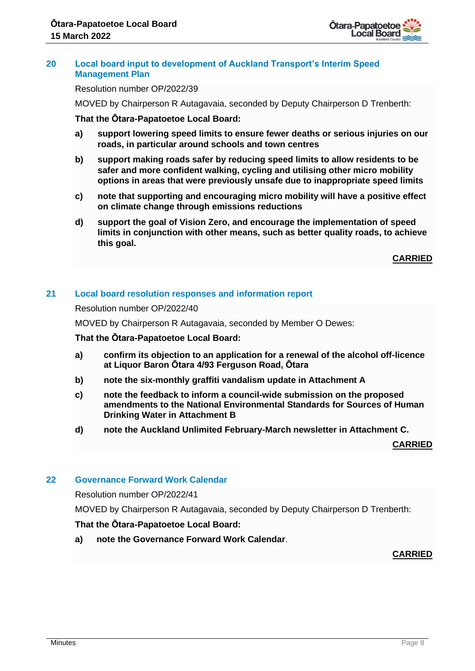

#### **20 Local board input to development of Auckland Transport's Interim Speed Management Plan**

Resolution number OP/2022/39

MOVED by Chairperson R Autagavaia, seconded by Deputy Chairperson D Trenberth:

**That the Ōtara-Papatoetoe Local Board:**

- **a) support lowering speed limits to ensure fewer deaths or serious injuries on our roads, in particular around schools and town centres**
- **b) support making roads safer by reducing speed limits to allow residents to be safer and more confident walking, cycling and utilising other micro mobility options in areas that were previously unsafe due to inappropriate speed limits**
- **c) note that supporting and encouraging micro mobility will have a positive effect on climate change through emissions reductions**
- **d) support the goal of Vision Zero, and encourage the implementation of speed limits in conjunction with other means, such as better quality roads, to achieve this goal.**

**CARRIED**

# **21 Local board resolution responses and information report**

Resolution number OP/2022/40

MOVED by Chairperson R Autagavaia, seconded by Member O Dewes:

#### **That the Ōtara-Papatoetoe Local Board:**

- **a) confirm its objection to an application for a renewal of the alcohol off-licence at Liquor Baron Ōtara 4/93 Ferguson Road, Ōtara**
- **b) note the six-monthly graffiti vandalism update in Attachment A**
- **c) note the feedback to inform a council-wide submission on the proposed amendments to the National Environmental Standards for Sources of Human Drinking Water in Attachment B**
- **d) note the Auckland Unlimited February-March newsletter in Attachment C.**

**CARRIED**

# **22 Governance Forward Work Calendar**

Resolution number OP/2022/41

MOVED by Chairperson R Autagavaia, seconded by Deputy Chairperson D Trenberth:

# **That the Ōtara-Papatoetoe Local Board:**

**a) note the Governance Forward Work Calendar**.

# **CARRIED**